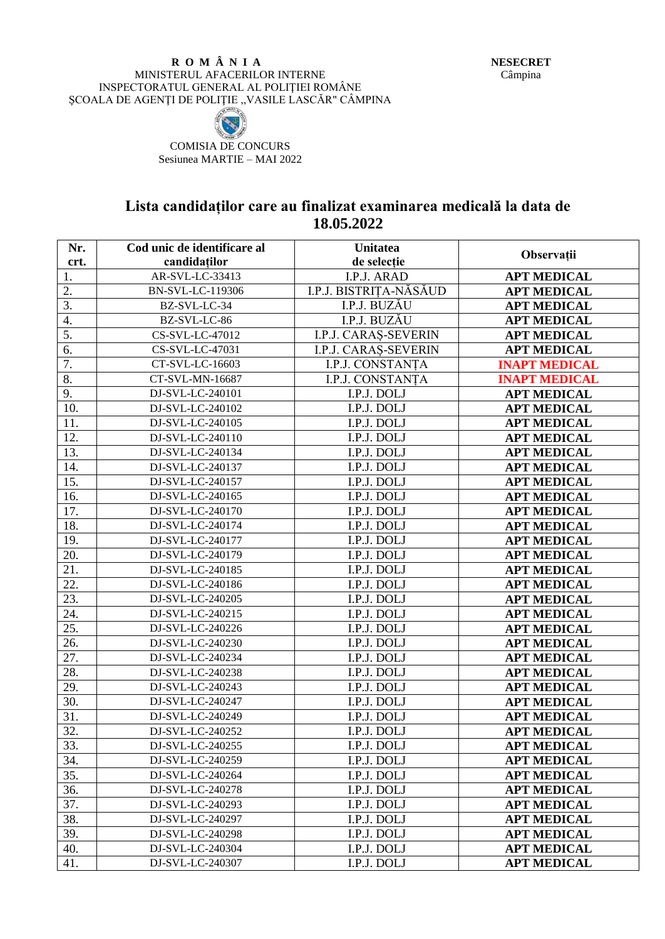## **R O M Â N I A** MINISTERUL AFACERILOR INTERNE INSPECTORATUL GENERAL AL POLIŢIEI ROMÂNE SCOALA DE AGENȚI DE POLITIE, VASILE LASCĂR" CÂMPINA



COMISIA DE CONCURS Sesiunea MARTIE – MAI 2022

## **Lista candidaților care au finalizat examinarea medicală la data de 18.05.2022**

| Nr.               | Cod unic de identificare al | <b>Unitatea</b>        |                      |
|-------------------|-----------------------------|------------------------|----------------------|
| crt.              | candidaților                | de selecție            | Observații           |
| 1.                | AR-SVL-LC-33413             | I.P.J. ARAD            | <b>APT MEDICAL</b>   |
| 2.                | BN-SVL-LC-119306            | I.P.J. BISTRIȚA-NĂSĂUD | <b>APT MEDICAL</b>   |
| 3.                | BZ-SVL-LC-34                | I.P.J. BUZĂU           | <b>APT MEDICAL</b>   |
| 4.                | BZ-SVL-LC-86                | I.P.J. BUZĂU           | <b>APT MEDICAL</b>   |
| 5.                | CS-SVL-LC-47012             | I.P.J. CARAȘ-SEVERIN   | <b>APT MEDICAL</b>   |
| 6.                | CS-SVL-LC-47031             | I.P.J. CARAS-SEVERIN   | <b>APT MEDICAL</b>   |
| 7.                | CT-SVL-LC-16603             | I.P.J. CONSTANȚA       | <b>INAPT MEDICAL</b> |
| 8.                | CT-SVL-MN-16687             | I.P.J. CONSTANTA       | <b>INAPT MEDICAL</b> |
| 9.                | DJ-SVL-LC-240101            | I.P.J. DOLJ            | <b>APT MEDICAL</b>   |
| 10.               | DJ-SVL-LC-240102            | I.P.J. DOLJ            | <b>APT MEDICAL</b>   |
| 11.               | DJ-SVL-LC-240105            | I.P.J. DOLJ            | <b>APT MEDICAL</b>   |
| 12.               | DJ-SVL-LC-240110            | I.P.J. DOLJ            | <b>APT MEDICAL</b>   |
| 13.               | DJ-SVL-LC-240134            | I.P.J. DOLJ            | <b>APT MEDICAL</b>   |
| 14.               | DJ-SVL-LC-240137            | I.P.J. DOLJ            | <b>APT MEDICAL</b>   |
| 15.               | DJ-SVL-LC-240157            | I.P.J. DOLJ            | <b>APT MEDICAL</b>   |
| 16.               | DJ-SVL-LC-240165            | I.P.J. DOLJ            | <b>APT MEDICAL</b>   |
| 17.               | DJ-SVL-LC-240170            | I.P.J. DOLJ            | <b>APT MEDICAL</b>   |
| 18.               | DJ-SVL-LC-240174            | I.P.J. DOLJ            | <b>APT MEDICAL</b>   |
| 19.               | DJ-SVL-LC-240177            | I.P.J. DOLJ            | <b>APT MEDICAL</b>   |
| 20.               | DJ-SVL-LC-240179            | I.P.J. DOLJ            | <b>APT MEDICAL</b>   |
| 21.               | DJ-SVL-LC-240185            | I.P.J. DOLJ            | <b>APT MEDICAL</b>   |
| 22.               | DJ-SVL-LC-240186            | I.P.J. DOLJ            | <b>APT MEDICAL</b>   |
| $\overline{23}$ . | DJ-SVL-LC-240205            | I.P.J. DOLJ            | <b>APT MEDICAL</b>   |
| 24.               | DJ-SVL-LC-240215            | I.P.J. DOLJ            | <b>APT MEDICAL</b>   |
| 25.               | DJ-SVL-LC-240226            | I.P.J. DOLJ            | <b>APT MEDICAL</b>   |
| 26.               | DJ-SVL-LC-240230            | I.P.J. DOLJ            | <b>APT MEDICAL</b>   |
| 27.               | DJ-SVL-LC-240234            | I.P.J. DOLJ            | <b>APT MEDICAL</b>   |
| 28.               | DJ-SVL-LC-240238            | I.P.J. DOLJ            | <b>APT MEDICAL</b>   |
| 29.               | DJ-SVL-LC-240243            | I.P.J. DOLJ            | <b>APT MEDICAL</b>   |
| 30.               | DJ-SVL-LC-240247            | I.P.J. DOLJ            | <b>APT MEDICAL</b>   |
| 31.               | DJ-SVL-LC-240249            | I.P.J. DOLJ            | <b>APT MEDICAL</b>   |
| 32.               | DJ-SVL-LC-240252            | I.P.J. DOLJ            | <b>APT MEDICAL</b>   |
| 33.               | DJ-SVL-LC-240255            | I.P.J. DOLJ            | <b>APT MEDICAL</b>   |
| 34.               | DJ-SVL-LC-240259            | I.P.J. DOLJ            | <b>APT MEDICAL</b>   |
| 35.               | DJ-SVL-LC-240264            | I.P.J. DOLJ            | <b>APT MEDICAL</b>   |
| 36.               | DJ-SVL-LC-240278            | I.P.J. DOLJ            | <b>APT MEDICAL</b>   |
| 37.               | DJ-SVL-LC-240293            | I.P.J. DOLJ            | <b>APT MEDICAL</b>   |
| 38.               | DJ-SVL-LC-240297            | I.P.J. DOLJ            | <b>APT MEDICAL</b>   |
| 39.               | DJ-SVL-LC-240298            | I.P.J. DOLJ            | <b>APT MEDICAL</b>   |
| 40.               | DJ-SVL-LC-240304            | I.P.J. DOLJ            | <b>APT MEDICAL</b>   |
| 41.               | DJ-SVL-LC-240307            | I.P.J. DOLJ            | <b>APT MEDICAL</b>   |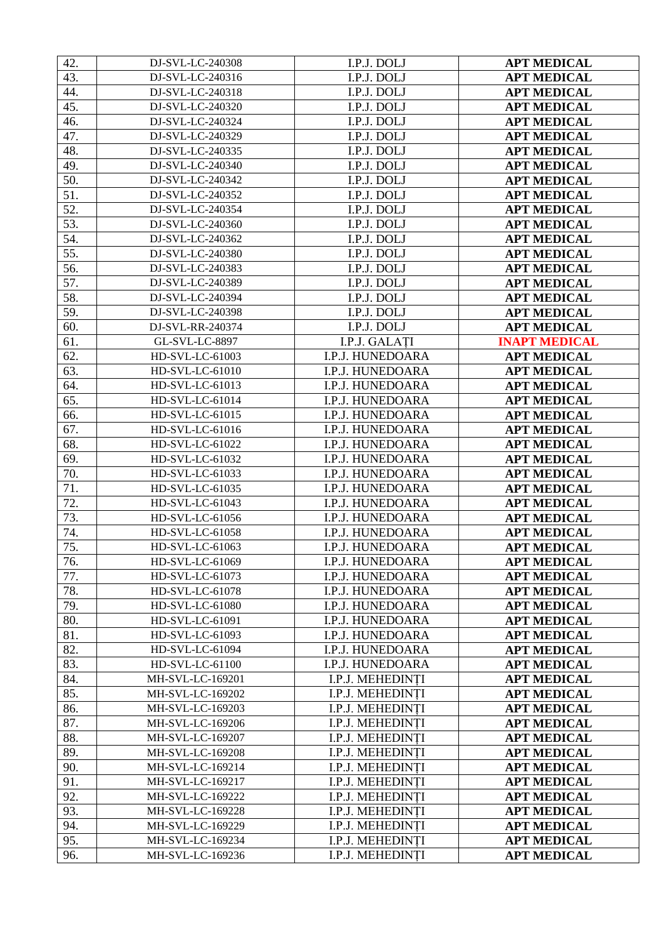| 42. | DJ-SVL-LC-240308 | I.P.J. DOLJ             | <b>APT MEDICAL</b>   |
|-----|------------------|-------------------------|----------------------|
| 43. | DJ-SVL-LC-240316 | I.P.J. DOLJ             | <b>APT MEDICAL</b>   |
| 44. | DJ-SVL-LC-240318 | I.P.J. DOLJ             | <b>APT MEDICAL</b>   |
| 45. | DJ-SVL-LC-240320 | I.P.J. DOLJ             | <b>APT MEDICAL</b>   |
| 46. | DJ-SVL-LC-240324 | I.P.J. DOLJ             | <b>APT MEDICAL</b>   |
| 47. | DJ-SVL-LC-240329 | I.P.J. DOLJ             | <b>APT MEDICAL</b>   |
| 48. | DJ-SVL-LC-240335 | I.P.J. DOLJ             | <b>APT MEDICAL</b>   |
| 49. | DJ-SVL-LC-240340 | I.P.J. DOLJ             | <b>APT MEDICAL</b>   |
| 50. | DJ-SVL-LC-240342 | I.P.J. DOLJ             | <b>APT MEDICAL</b>   |
| 51. | DJ-SVL-LC-240352 | I.P.J. DOLJ             | <b>APT MEDICAL</b>   |
| 52. | DJ-SVL-LC-240354 | I.P.J. DOLJ             | <b>APT MEDICAL</b>   |
| 53. | DJ-SVL-LC-240360 | I.P.J. DOLJ             | <b>APT MEDICAL</b>   |
| 54. | DJ-SVL-LC-240362 | I.P.J. DOLJ             | <b>APT MEDICAL</b>   |
| 55. | DJ-SVL-LC-240380 | I.P.J. DOLJ             | <b>APT MEDICAL</b>   |
| 56. | DJ-SVL-LC-240383 | I.P.J. DOLJ             | <b>APT MEDICAL</b>   |
| 57. | DJ-SVL-LC-240389 | I.P.J. DOLJ             | <b>APT MEDICAL</b>   |
| 58. | DJ-SVL-LC-240394 | I.P.J. DOLJ             | <b>APT MEDICAL</b>   |
| 59. | DJ-SVL-LC-240398 | I.P.J. DOLJ             | <b>APT MEDICAL</b>   |
| 60. | DJ-SVL-RR-240374 | I.P.J. DOLJ             | <b>APT MEDICAL</b>   |
| 61. | GL-SVL-LC-8897   | I.P.J. GALATI           | <b>INAPT MEDICAL</b> |
| 62. | HD-SVL-LC-61003  | I.P.J. HUNEDOARA        | <b>APT MEDICAL</b>   |
| 63. | HD-SVL-LC-61010  | I.P.J. HUNEDOARA        | <b>APT MEDICAL</b>   |
| 64. | HD-SVL-LC-61013  | I.P.J. HUNEDOARA        | <b>APT MEDICAL</b>   |
| 65. | HD-SVL-LC-61014  | I.P.J. HUNEDOARA        | <b>APT MEDICAL</b>   |
| 66. | HD-SVL-LC-61015  | I.P.J. HUNEDOARA        | <b>APT MEDICAL</b>   |
| 67. | HD-SVL-LC-61016  | I.P.J. HUNEDOARA        | <b>APT MEDICAL</b>   |
| 68. | HD-SVL-LC-61022  | I.P.J. HUNEDOARA        | <b>APT MEDICAL</b>   |
| 69. | HD-SVL-LC-61032  | I.P.J. HUNEDOARA        | <b>APT MEDICAL</b>   |
| 70. | HD-SVL-LC-61033  | I.P.J. HUNEDOARA        | <b>APT MEDICAL</b>   |
| 71. | HD-SVL-LC-61035  | <b>I.P.J. HUNEDOARA</b> | <b>APT MEDICAL</b>   |
| 72. | HD-SVL-LC-61043  | I.P.J. HUNEDOARA        | <b>APT MEDICAL</b>   |
| 73. | HD-SVL-LC-61056  | I.P.J. HUNEDOARA        | <b>APT MEDICAL</b>   |
| 74. | HD-SVL-LC-61058  | I.P.J. HUNEDOARA        | <b>APT MEDICAL</b>   |
| 75. | HD-SVL-LC-61063  | I.P.J. HUNEDOARA        | <b>APT MEDICAL</b>   |
| 76. | HD-SVL-LC-61069  | I.P.J. HUNEDOARA        | <b>APT MEDICAL</b>   |
| 77. | HD-SVL-LC-61073  | I.P.J. HUNEDOARA        | <b>APT MEDICAL</b>   |
| 78. | HD-SVL-LC-61078  | I.P.J. HUNEDOARA        | <b>APT MEDICAL</b>   |
| 79. | HD-SVL-LC-61080  | I.P.J. HUNEDOARA        | <b>APT MEDICAL</b>   |
| 80. | HD-SVL-LC-61091  | I.P.J. HUNEDOARA        | <b>APT MEDICAL</b>   |
| 81. | HD-SVL-LC-61093  | I.P.J. HUNEDOARA        | <b>APT MEDICAL</b>   |
| 82. | HD-SVL-LC-61094  | I.P.J. HUNEDOARA        | <b>APT MEDICAL</b>   |
| 83. | HD-SVL-LC-61100  | I.P.J. HUNEDOARA        | <b>APT MEDICAL</b>   |
| 84. | MH-SVL-LC-169201 | I.P.J. MEHEDINTI        | <b>APT MEDICAL</b>   |
| 85. | MH-SVL-LC-169202 | I.P.J. MEHEDINTI        | <b>APT MEDICAL</b>   |
| 86. | MH-SVL-LC-169203 | I.P.J. MEHEDINȚI        | <b>APT MEDICAL</b>   |
| 87. | MH-SVL-LC-169206 | I.P.J. MEHEDINȚI        | <b>APT MEDICAL</b>   |
| 88. | MH-SVL-LC-169207 | I.P.J. MEHEDINTI        | <b>APT MEDICAL</b>   |
| 89. | MH-SVL-LC-169208 | I.P.J. MEHEDINȚI        | <b>APT MEDICAL</b>   |
| 90. | MH-SVL-LC-169214 | I.P.J. MEHEDINȚI        | <b>APT MEDICAL</b>   |
| 91. | MH-SVL-LC-169217 | I.P.J. MEHEDINȚI        | <b>APT MEDICAL</b>   |
| 92. | MH-SVL-LC-169222 | I.P.J. MEHEDINȚI        | <b>APT MEDICAL</b>   |
| 93. | MH-SVL-LC-169228 | I.P.J. MEHEDINȚI        | <b>APT MEDICAL</b>   |
| 94. | MH-SVL-LC-169229 | I.P.J. MEHEDINTI        | <b>APT MEDICAL</b>   |
| 95. | MH-SVL-LC-169234 | I.P.J. MEHEDINTI        | <b>APT MEDICAL</b>   |
| 96. | MH-SVL-LC-169236 | I.P.J. MEHEDINTI        | <b>APT MEDICAL</b>   |
|     |                  |                         |                      |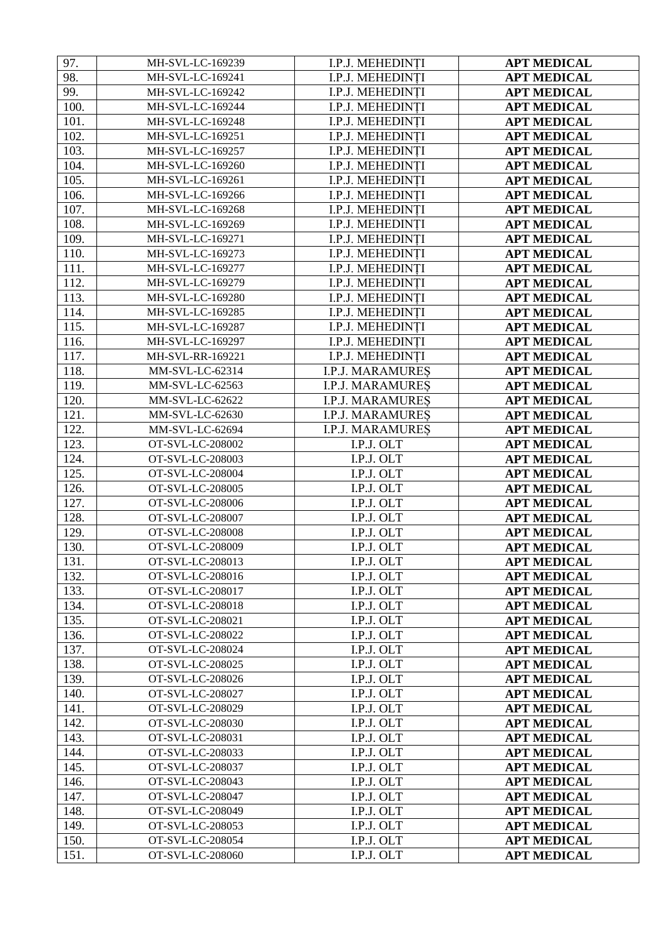| 97.  | MH-SVL-LC-169239                     | I.P.J. MEHEDINȚI        | <b>APT MEDICAL</b> |
|------|--------------------------------------|-------------------------|--------------------|
| 98.  | MH-SVL-LC-169241                     | I.P.J. MEHEDINTI        | <b>APT MEDICAL</b> |
| 99.  | MH-SVL-LC-169242                     | I.P.J. MEHEDINȚI        | <b>APT MEDICAL</b> |
| 100. | MH-SVL-LC-169244                     | I.P.J. MEHEDINTI        | <b>APT MEDICAL</b> |
| 101. | MH-SVL-LC-169248                     | I.P.J. MEHEDINTI        | <b>APT MEDICAL</b> |
| 102. | MH-SVL-LC-169251                     | I.P.J. MEHEDINTI        | <b>APT MEDICAL</b> |
| 103. | MH-SVL-LC-169257                     | I.P.J. MEHEDINTI        | <b>APT MEDICAL</b> |
| 104. | MH-SVL-LC-169260                     | I.P.J. MEHEDINTI        | <b>APT MEDICAL</b> |
| 105. | MH-SVL-LC-169261                     | I.P.J. MEHEDINTI        | <b>APT MEDICAL</b> |
| 106. | MH-SVL-LC-169266                     | I.P.J. MEHEDINTI        | <b>APT MEDICAL</b> |
| 107. | MH-SVL-LC-169268                     | I.P.J. MEHEDINTI        | <b>APT MEDICAL</b> |
| 108. | MH-SVL-LC-169269                     | I.P.J. MEHEDINTI        | <b>APT MEDICAL</b> |
| 109. | MH-SVL-LC-169271                     | I.P.J. MEHEDINȚI        | <b>APT MEDICAL</b> |
| 110. | MH-SVL-LC-169273                     | I.P.J. MEHEDINȚI        | <b>APT MEDICAL</b> |
| 111. | MH-SVL-LC-169277                     | I.P.J. MEHEDINȚI        | <b>APT MEDICAL</b> |
| 112. | MH-SVL-LC-169279                     | I.P.J. MEHEDINTI        | <b>APT MEDICAL</b> |
| 113. | MH-SVL-LC-169280                     | I.P.J. MEHEDINTI        | <b>APT MEDICAL</b> |
| 114. | MH-SVL-LC-169285                     | I.P.J. MEHEDINTI        | <b>APT MEDICAL</b> |
| 115. | MH-SVL-LC-169287                     | I.P.J. MEHEDINTI        | <b>APT MEDICAL</b> |
| 116. | MH-SVL-LC-169297                     | I.P.J. MEHEDINTI        | <b>APT MEDICAL</b> |
| 117. | MH-SVL-RR-169221                     | I.P.J. MEHEDINTI        | <b>APT MEDICAL</b> |
| 118. | MM-SVL-LC-62314                      | <b>I.P.J. MARAMURES</b> | <b>APT MEDICAL</b> |
| 119. | MM-SVL-LC-62563                      | <b>I.P.J. MARAMURES</b> | <b>APT MEDICAL</b> |
| 120. | MM-SVL-LC-62622                      | <b>I.P.J. MARAMURES</b> |                    |
| 121. | MM-SVL-LC-62630                      |                         | <b>APT MEDICAL</b> |
| 122. |                                      | <b>I.P.J. MARAMURES</b> | <b>APT MEDICAL</b> |
|      | MM-SVL-LC-62694                      | <b>I.P.J. MARAMURES</b> | <b>APT MEDICAL</b> |
| 123. | OT-SVL-LC-208002<br>OT-SVL-LC-208003 | I.P.J. OLT              | <b>APT MEDICAL</b> |
| 124. |                                      | I.P.J. OLT              | <b>APT MEDICAL</b> |
| 125. | OT-SVL-LC-208004                     | I.P.J. OLT              | <b>APT MEDICAL</b> |
| 126. | OT-SVL-LC-208005                     | I.P.J. OLT              | <b>APT MEDICAL</b> |
| 127. | OT-SVL-LC-208006                     | I.P.J. OLT              | <b>APT MEDICAL</b> |
| 128. | OT-SVL-LC-208007                     | I.P.J. OLT              | <b>APT MEDICAL</b> |
| 129. | OT-SVL-LC-208008                     | I.P.J. OLT              | <b>APT MEDICAL</b> |
| 130. | OT-SVL-LC-208009                     | I.P.J. OLT              | <b>APT MEDICAL</b> |
| 131. | OT-SVL-LC-208013                     | I.P.J. OLT              | <b>APT MEDICAL</b> |
| 132. | OT-SVL-LC-208016                     | I.P.J. OLT              | <b>APT MEDICAL</b> |
| 133. | OT-SVL-LC-208017                     | I.P.J. OLT              | <b>APT MEDICAL</b> |
| 134. | OT-SVL-LC-208018                     | I.P.J. OLT              | <b>APT MEDICAL</b> |
| 135. | OT-SVL-LC-208021                     | I.P.J. OLT              | <b>APT MEDICAL</b> |
| 136. | OT-SVL-LC-208022                     | I.P.J. OLT              | <b>APT MEDICAL</b> |
| 137. | OT-SVL-LC-208024                     | I.P.J. OLT              | <b>APT MEDICAL</b> |
| 138. | OT-SVL-LC-208025                     | I.P.J. OLT              | <b>APT MEDICAL</b> |
| 139. | OT-SVL-LC-208026                     | I.P.J. OLT              | <b>APT MEDICAL</b> |
| 140. | OT-SVL-LC-208027                     | I.P.J. OLT              | <b>APT MEDICAL</b> |
| 141. | OT-SVL-LC-208029                     | I.P.J. OLT              | <b>APT MEDICAL</b> |
| 142. | OT-SVL-LC-208030                     | I.P.J. OLT              | <b>APT MEDICAL</b> |
| 143. | OT-SVL-LC-208031                     | I.P.J. OLT              | <b>APT MEDICAL</b> |
| 144. | OT-SVL-LC-208033                     | I.P.J. OLT              | <b>APT MEDICAL</b> |
| 145. | OT-SVL-LC-208037                     | I.P.J. OLT              | <b>APT MEDICAL</b> |
| 146. | OT-SVL-LC-208043                     | I.P.J. OLT              | <b>APT MEDICAL</b> |
| 147. | OT-SVL-LC-208047                     | I.P.J. OLT              | <b>APT MEDICAL</b> |
| 148. | OT-SVL-LC-208049                     | I.P.J. OLT              | <b>APT MEDICAL</b> |
| 149. | OT-SVL-LC-208053                     | I.P.J. OLT              | <b>APT MEDICAL</b> |
| 150. | OT-SVL-LC-208054                     | I.P.J. OLT              | <b>APT MEDICAL</b> |
| 151. | OT-SVL-LC-208060                     | I.P.J. OLT              | <b>APT MEDICAL</b> |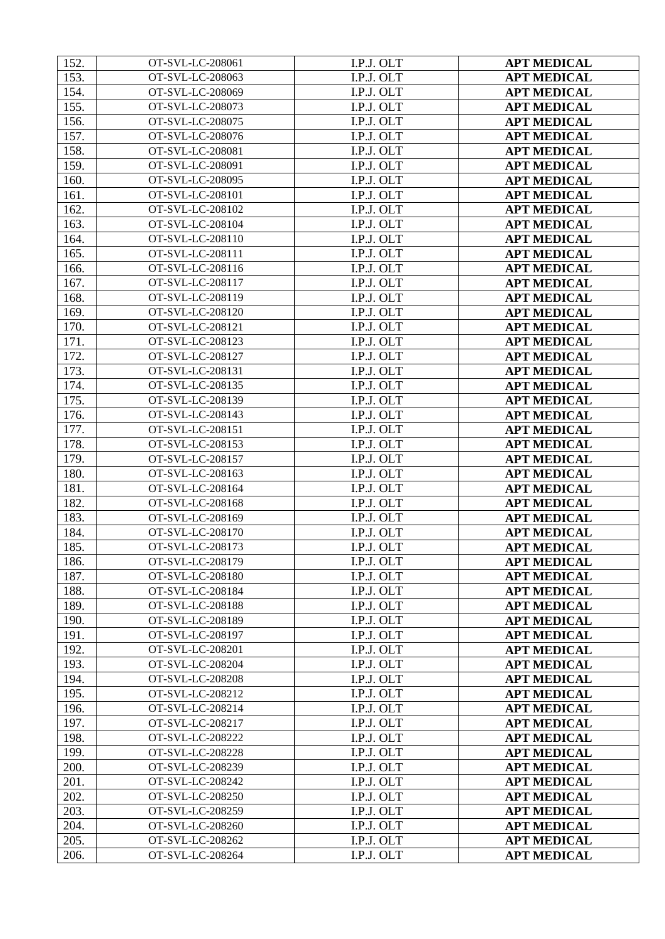| 152. | OT-SVL-LC-208061 | I.P.J. OLT | <b>APT MEDICAL</b> |
|------|------------------|------------|--------------------|
| 153. | OT-SVL-LC-208063 | I.P.J. OLT | <b>APT MEDICAL</b> |
| 154. | OT-SVL-LC-208069 | I.P.J. OLT | <b>APT MEDICAL</b> |
| 155. | OT-SVL-LC-208073 | I.P.J. OLT | <b>APT MEDICAL</b> |
| 156. | OT-SVL-LC-208075 | I.P.J. OLT | <b>APT MEDICAL</b> |
| 157. | OT-SVL-LC-208076 | I.P.J. OLT | <b>APT MEDICAL</b> |
| 158. | OT-SVL-LC-208081 | I.P.J. OLT | <b>APT MEDICAL</b> |
| 159. | OT-SVL-LC-208091 | I.P.J. OLT | <b>APT MEDICAL</b> |
| 160. | OT-SVL-LC-208095 | I.P.J. OLT | <b>APT MEDICAL</b> |
| 161. | OT-SVL-LC-208101 | I.P.J. OLT | <b>APT MEDICAL</b> |
| 162. | OT-SVL-LC-208102 | I.P.J. OLT | <b>APT MEDICAL</b> |
| 163. | OT-SVL-LC-208104 | I.P.J. OLT | <b>APT MEDICAL</b> |
| 164. | OT-SVL-LC-208110 | I.P.J. OLT | <b>APT MEDICAL</b> |
| 165. | OT-SVL-LC-208111 | I.P.J. OLT | <b>APT MEDICAL</b> |
| 166. | OT-SVL-LC-208116 | I.P.J. OLT | <b>APT MEDICAL</b> |
| 167. | OT-SVL-LC-208117 | I.P.J. OLT | <b>APT MEDICAL</b> |
| 168. | OT-SVL-LC-208119 | I.P.J. OLT | <b>APT MEDICAL</b> |
| 169. | OT-SVL-LC-208120 | I.P.J. OLT | <b>APT MEDICAL</b> |
| 170. | OT-SVL-LC-208121 | I.P.J. OLT | <b>APT MEDICAL</b> |
| 171. | OT-SVL-LC-208123 | I.P.J. OLT | <b>APT MEDICAL</b> |
| 172. | OT-SVL-LC-208127 | I.P.J. OLT | <b>APT MEDICAL</b> |
| 173. | OT-SVL-LC-208131 | I.P.J. OLT | <b>APT MEDICAL</b> |
| 174. | OT-SVL-LC-208135 | I.P.J. OLT | <b>APT MEDICAL</b> |
| 175. | OT-SVL-LC-208139 | I.P.J. OLT | <b>APT MEDICAL</b> |
| 176. | OT-SVL-LC-208143 | I.P.J. OLT | <b>APT MEDICAL</b> |
| 177. | OT-SVL-LC-208151 | I.P.J. OLT | <b>APT MEDICAL</b> |
| 178. | OT-SVL-LC-208153 | I.P.J. OLT | <b>APT MEDICAL</b> |
| 179. | OT-SVL-LC-208157 | I.P.J. OLT | <b>APT MEDICAL</b> |
| 180. | OT-SVL-LC-208163 | I.P.J. OLT | <b>APT MEDICAL</b> |
| 181. | OT-SVL-LC-208164 | I.P.J. OLT | <b>APT MEDICAL</b> |
| 182. | OT-SVL-LC-208168 | I.P.J. OLT | <b>APT MEDICAL</b> |
| 183. | OT-SVL-LC-208169 | I.P.J. OLT | <b>APT MEDICAL</b> |
| 184. | OT-SVL-LC-208170 | I.P.J. OLT | <b>APT MEDICAL</b> |
| 185. | OT-SVL-LC-208173 | I.P.J. OLT | <b>APT MEDICAL</b> |
| 186. | OT-SVL-LC-208179 | I.P.J. OLT | <b>APT MEDICAL</b> |
| 187. | OT-SVL-LC-208180 | I.P.J. OLT | <b>APT MEDICAL</b> |
| 188. | OT-SVL-LC-208184 | I.P.J. OLT | <b>APT MEDICAL</b> |
| 189. | OT-SVL-LC-208188 | I.P.J. OLT | <b>APT MEDICAL</b> |
| 190. | OT-SVL-LC-208189 | I.P.J. OLT | <b>APT MEDICAL</b> |
| 191. | OT-SVL-LC-208197 | I.P.J. OLT | <b>APT MEDICAL</b> |
| 192. | OT-SVL-LC-208201 | I.P.J. OLT | <b>APT MEDICAL</b> |
| 193. | OT-SVL-LC-208204 | I.P.J. OLT | <b>APT MEDICAL</b> |
| 194. | OT-SVL-LC-208208 | I.P.J. OLT | <b>APT MEDICAL</b> |
| 195. | OT-SVL-LC-208212 | I.P.J. OLT | <b>APT MEDICAL</b> |
| 196. | OT-SVL-LC-208214 | I.P.J. OLT | <b>APT MEDICAL</b> |
| 197. | OT-SVL-LC-208217 | I.P.J. OLT | <b>APT MEDICAL</b> |
| 198. | OT-SVL-LC-208222 | I.P.J. OLT | <b>APT MEDICAL</b> |
| 199. | OT-SVL-LC-208228 | I.P.J. OLT | <b>APT MEDICAL</b> |
| 200. | OT-SVL-LC-208239 | I.P.J. OLT | <b>APT MEDICAL</b> |
| 201. | OT-SVL-LC-208242 | I.P.J. OLT | <b>APT MEDICAL</b> |
| 202. | OT-SVL-LC-208250 | I.P.J. OLT | <b>APT MEDICAL</b> |
| 203. | OT-SVL-LC-208259 | I.P.J. OLT | <b>APT MEDICAL</b> |
| 204. | OT-SVL-LC-208260 | I.P.J. OLT | <b>APT MEDICAL</b> |
| 205. | OT-SVL-LC-208262 | I.P.J. OLT | <b>APT MEDICAL</b> |
| 206. | OT-SVL-LC-208264 | I.P.J. OLT | <b>APT MEDICAL</b> |
|      |                  |            |                    |